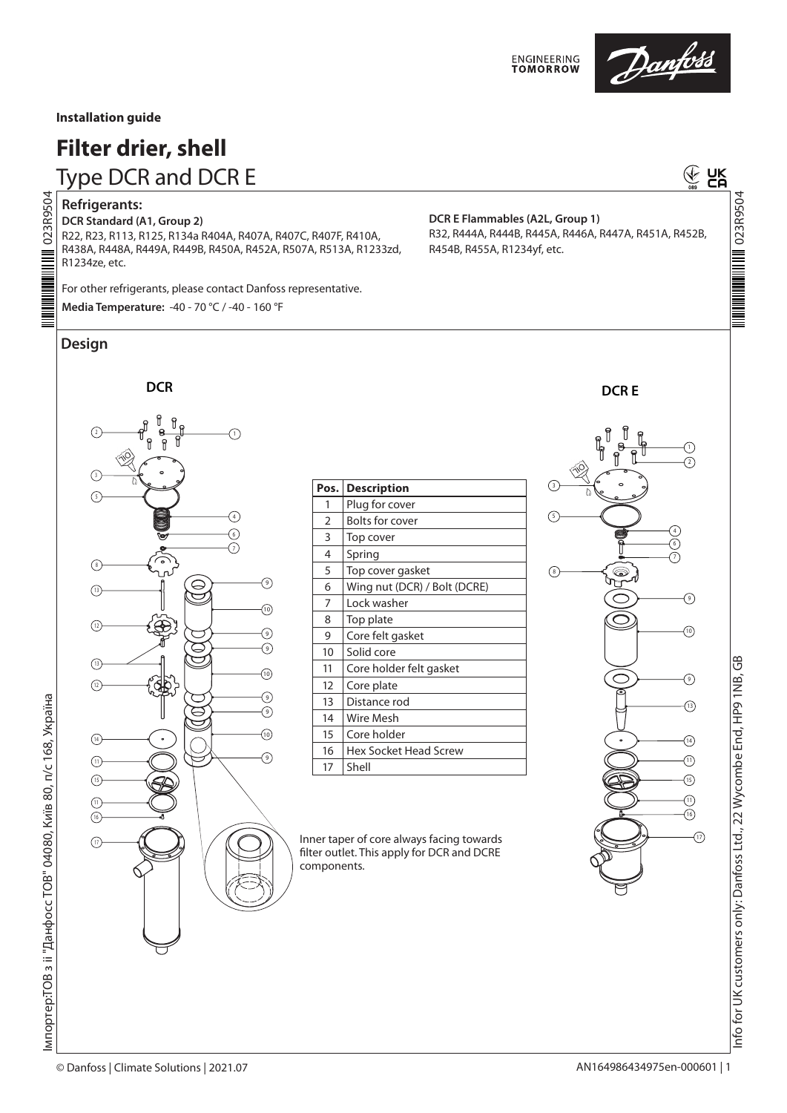

# Danfoss

#### **Installation guide**

## **Filter drier, shell**

Type DCR and DCR E

## 023R9504 **NOSGSECO MILIMINI**

**Refrigerants: DCR Standard (A1, Group 2)**

R22, R23, R113, R125, R134a R404A, R407A, R407C, R407F, R410A, R438A, R448A, R449A, R449B, R450A, R452A, R507A, R513A, R1233zd, R1234ze, etc.

For other refrigerants, please contact Danfoss representative. **Media Temperature:** -40 - 70 °C / -40 - 160 °F

### **Design**



| Pos.           | <b>Description</b>           |
|----------------|------------------------------|
| 1              | Plug for cover               |
| $\overline{2}$ | Bolts for cover              |
| 3              | Top cover                    |
| 4              | Spring                       |
| 5              | Top cover gasket             |
| 6              | Wing nut (DCR) / Bolt (DCRE) |
| 7              | Lock washer                  |
| 8              | Top plate                    |
| 9              | Core felt gasket             |
| 10             | Solid core                   |
| 11             | Core holder felt gasket      |
| 12             | Core plate                   |
| 13             | Distance rod                 |
| 14             | Wire Mesh                    |
| 15             | Core holder                  |
| 16             | Hex Socket Head Screw        |
| 17             | Shell                        |

Inner taper of core always facing towards filter outlet. This apply for DCR and DCRE components.





**⊕ UK** 

023R9504

**NOSSESO MINIMUMINAL** 

Info for UK customers only: Danfoss Ltd., 22 Wycombe End, HP9 1NB, GB

nfo for UK customers only: Danfoss Ltd., 22 Wycombe End, HP9 1NB, GB